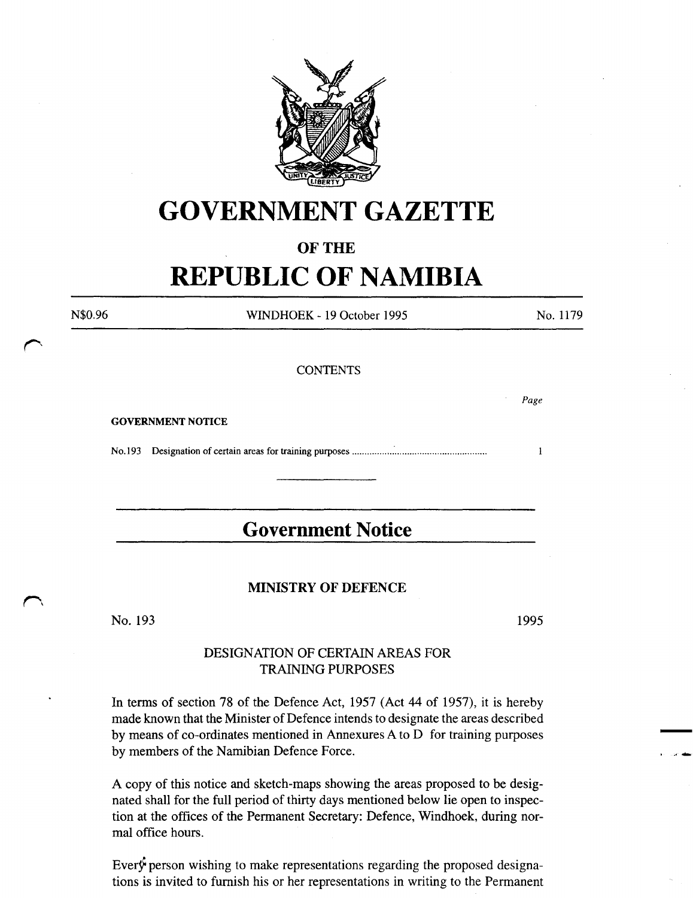

# **GOVERNMENT GAZETTE**

### **OF THE**

# **REPUBLIC OF NAMIBIA**

N\$0.96

WINDHOEK- 19 October 1995

### No. 1179

*Page* 

 $\mathbf{1}$ 

### **CONTENTS**

GOVERNMENT NOTICE

No.l93 Designation of certain areas for training purposes ................ : .................................... .

## **Government Notice**

### MINISTRY OF DEFENCE

No. 193

1995

- . ~ ....

### DESIGNATION OF CERTAIN AREAS FOR TRAINING PURPOSES

In terms of section 78 of the Defence Act, 1957 (Act 44 of 1957), it is hereby made known that the Minister of Defence intends to designate the areas described by means of co-ordinates mentioned in Annexures A to D for training purposes by members of the Namibian Defence Force.

A copy of this notice and sketch-maps showing the areas proposed to be designated shall for the full period of thirty days mentioned below lie open to inspection at the offices of the Permanent Secretary: Defence, Windhoek, during normal office hours.

Every person wishing to make representations regarding the proposed designations is invited to furnish his or her representations in writing to the Permanent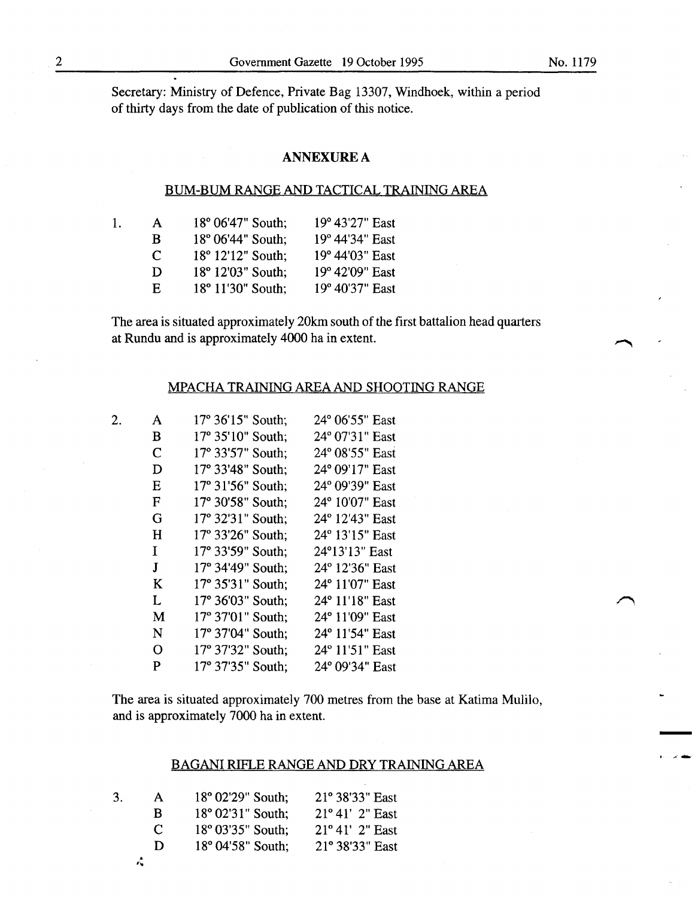-

Secretary: Ministry of Defence, Private Bag 13307, Windhoek, within a period of thirty days from the date of publication of this notice.

### **ANNEXURE A**

### BUM-BUM RANGE AND TACTICAL TRAINING AREA

| L. | A            | $18^{\circ}$ 06'47" South; | 19° 43'27" East |
|----|--------------|----------------------------|-----------------|
|    | B.           | 18° 06'44" South;          | 19° 44'34" East |
|    | $\mathbf{C}$ | 18° 12'12" South;          | 19° 44'03" East |
|    | D            | 18° 12'03" South;          | 19° 42'09" East |
|    | E.           | 18° 11'30" South;          | 19° 40'37" East |
|    |              |                            |                 |

The area is situated approximately 20km south of the first battalion head quarters at Rundu and is approximately 4000 ha in extent.

### MPACHA TRAINING AREA AND SHOOTING RANGE

| 2. | A           | 17° 36'15" South; | 24° 06'55" East |
|----|-------------|-------------------|-----------------|
|    | в           | 17° 35'10" South; | 24° 07'31" East |
|    | $\mathbf C$ | 17° 33'57" South; | 24° 08'55" East |
|    | D           | 17° 33'48" South; | 24° 09'17" East |
|    | E           | 17° 31'56" South; | 24° 09'39" East |
|    | $\mathbf F$ | 17° 30'58" South; | 24° 10'07" East |
|    | G           | 17° 32'31" South; | 24° 12'43" East |
|    | H           | 17° 33'26" South; | 24° 13'15" East |
|    | Ι           | 17° 33'59" South; | 24°13'13" East  |
|    | J           | 17° 34'49" South; | 24° 12'36" East |
|    | K           | 17° 35'31" South; | 24° 11'07" East |
|    | L           | 17° 36'03" South; | 24° 11'18" East |
|    | M           | 17° 37'01" South; | 24° 11'09" East |
|    | N           | 17° 37'04" South: | 24° 11'54" East |
|    | O           | 17° 37'32" South; | 24° 11'51" East |
|    | P           | 17° 37'35" South; | 24° 09'34" East |

The area is situated approximately 700 metres from the base at Katima Mulilo, and is approximately 7000 ha in extent.

#### BAGANI RIFLE RANGE AND DRY TRAINING AREA

| 3. | A        | 18° 02'29" South; | $21^{\circ}$ 38'33" East |
|----|----------|-------------------|--------------------------|
|    | R        | 18° 02'31" South: | $21^{\circ}41'$ 2" East  |
|    | $\Gamma$ | 18° 03'35" South; | $21^{\circ}41'$ 2" East  |
|    | D        | 18° 04'58" South; | 21° 38'33" East          |
|    | ۵Č       |                   |                          |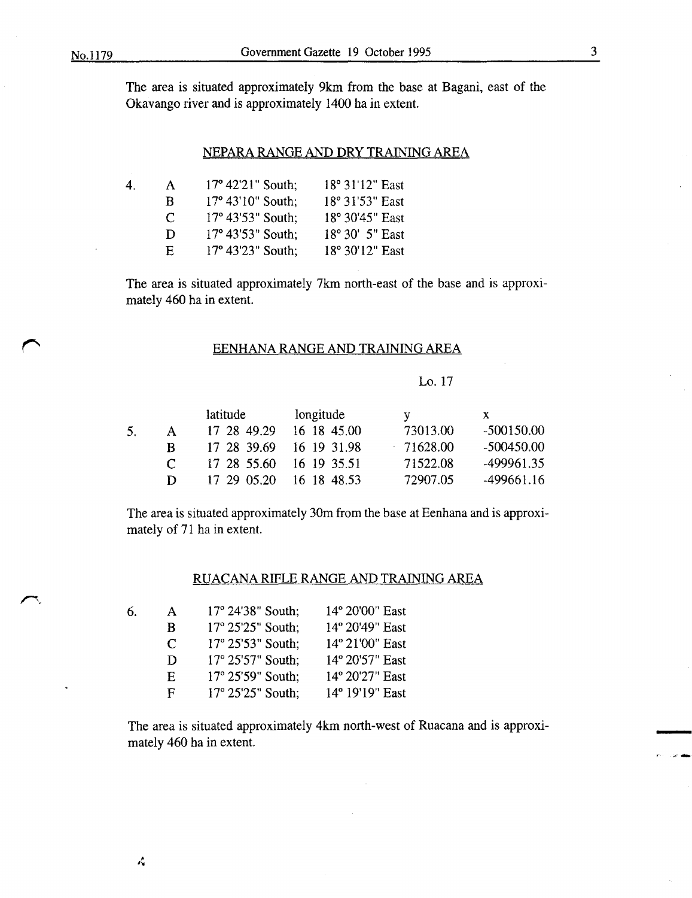The area is situated approximately 9km from the base at Bagani, east of the Okavango river and is approximately 1400 ha in extent.

### NEPARA RANGE AND DRY TRAINING AREA

| 4. | A                           | $17^{\circ}$ 42'21" South;   | 18° 31'12" East |
|----|-----------------------------|------------------------------|-----------------|
|    | B                           | $17^{\circ} 43' 10''$ South; | 18° 31'53" East |
|    | $\mathcal{C}^{\mathcal{A}}$ | $17^{\circ}$ 43'53" South;   | 18° 30'45" East |
|    | $\bf{D}$                    | $17^{\circ}$ 43'53" South;   | 18° 30′ 5″ East |
|    | E.                          | $17^{\circ}$ 43'23" South;   | 18° 30'12" East |

The area is situated approximately 7km north-east of the base and is approximately 460 ha in extent.

### EENHANA RANGE AND TRAINING AREA

#### Lo. 17

|               | latitude    | longitude   |                                        | $\mathbf{X}$ |
|---------------|-------------|-------------|----------------------------------------|--------------|
| A             | 17 28 49.29 | 16 18 45.00 | 73013.00                               | $-500150.00$ |
| R             |             | 16 19 31.98 | $-71628.00$                            | $-500450.00$ |
| $\mathcal{C}$ |             |             | 71522.08                               | -499961.35   |
| D             | 17 29 05.20 | 16 18 48.53 | 72907.05                               | $-499661.16$ |
|               |             |             | 17 28 39.69<br>17 28 55.60 16 19 35.51 |              |

The area is situated approximately 30m from the base at Eenhana and is approximately of 71 ha in extent.

### RUACANA RIFLE RANGE AND TRAINING AREA

| 6. | A                           | 17° 24'38" South; | 14° 20'00" East |
|----|-----------------------------|-------------------|-----------------|
|    | B                           | 17° 25'25" South; | 14° 20'49" East |
|    | $\mathcal{C}_{\mathcal{C}}$ | 17° 25'53" South; | 14° 21'00" East |
|    | D                           | 17° 25'57" South; | 14° 20'57" East |
|    | $\mathbf{E}$                | 17° 25'59" South: | 14° 20'27" East |
|    | F                           | 17° 25'25" South; | 14° 19'19" East |

The area is situated approximately 4km north-west of Ruacana and is approximately 460 ha in extent.

i se and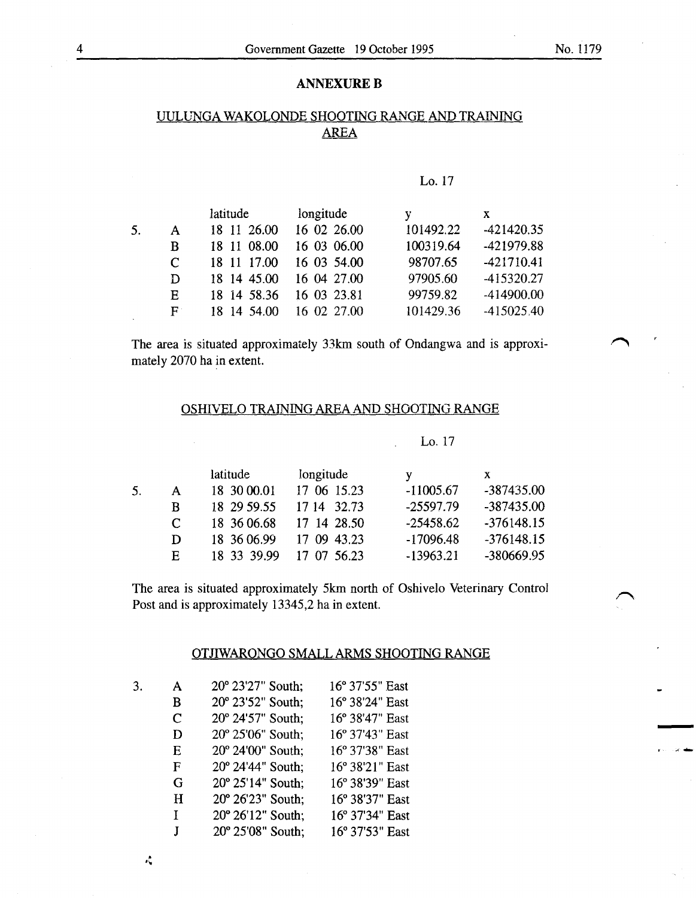### **ANNEXURE B**

### UULUNGA WAKOLONDE SHOOTING RANGE AND TRAINING AREA

### Lo.17

|    |                      | latitude    | longitude   | V         | X            |
|----|----------------------|-------------|-------------|-----------|--------------|
| 5. | $\mathbf{A}$         | 18 11 26.00 | 16 02 26.00 | 101492.22 | $-421420.35$ |
|    | B                    | 18 11 08:00 | 16 03 06.00 | 100319.64 | -421979.88   |
|    | C                    | 18 11 17.00 | 16 03 54.00 | 98707.65  | $-421710.41$ |
|    | D                    | 18 14 45.00 | 16 04 27.00 | 97905.60  | -415320.27   |
|    | E                    | 18 14 58.36 | 16 03 23.81 | 99759.82  | -414900.00   |
|    | $\mathbf{F}^{\perp}$ | 18 14 54.00 | 16 02 27.00 | 101429.36 | $-415025.40$ |

The area is situated approximately 33km south of Ondangwa and is approximately 2070 ha in extent.

### OSHIVELO TRAINING AREA AND SHOOTING RANGE

#### Lo. 17

|                             | latitude    | longitude   | v           | x            |
|-----------------------------|-------------|-------------|-------------|--------------|
| $\mathsf{A}$                | 18 30 00.01 | 17 06 15.23 | $-11005.67$ | -387435.00   |
| R                           | 18 29 59.55 | 17 14 32.73 | $-25597.79$ | -387435.00   |
| $\mathcal{C}_{\mathcal{C}}$ | 18 36 06.68 | 17 14 28.50 | $-25458.62$ | $-376148.15$ |
| D                           | 18 36 06.99 | 17 09 43.23 | $-17096.48$ | $-376148.15$ |
| E.                          | 18 33 39.99 | 17 07 56.23 | $-13963.21$ | -380669.95   |

The area is situated approximately 5km north of Oshivelo Veterinary Control Post and is approximately 13345,2 ha in extent.

### OTJIWARONGO SMALL ARMS SHOOTING RANGE

| 3. | A           | 20° 23'27" South; | 16° 37'55" East |
|----|-------------|-------------------|-----------------|
|    | B           | 20° 23'52" South; | 16° 38'24" East |
|    | $\mathbf C$ | 20° 24'57" South; | 16° 38'47" East |
|    | D           | 20° 25'06" South; | 16° 37'43" East |
|    | E           | 20° 24'00" South; | 16° 37'38" East |
|    | F           | 20° 24'44" South; | 16° 38'21" East |
|    | G           | 20° 25'14" South; | 16° 38'39" East |
|    | H           | 20° 26'23" South; | 16° 38'37" East |
|    | Ţ           | 20° 26'12" South; | 16° 37'34" East |
|    | J           | 20° 25'08" South; | 16° 37'53" East |

 $\mathcal{L}$ 

 $\bigcap$ 

~-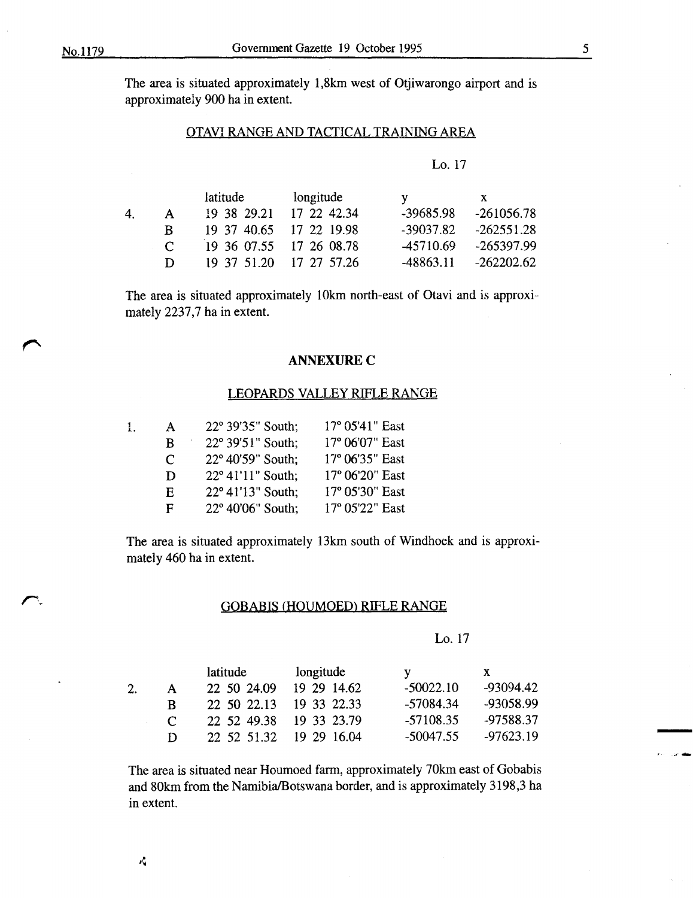$\overline{a}$ 

The area is situated approximately 1,8km west of Otjiwarongo airport and is approximately 900 ha in extent.

### OTAVI RANGE AND TACTICAL TRAINING AREA

|--|--|

|    |            | latitude | longitude               | V           | X            |
|----|------------|----------|-------------------------|-------------|--------------|
| 4. | A.         |          | 19 38 29.21 17 22 42.34 | $-39685.98$ | $-261056.78$ |
|    | R.         |          | 19 37 40.65 17 22 19.98 | $-39037.82$ | $-262551.28$ |
|    | $\sqrt{ }$ |          | 19 36 07.55 17 26 08.78 | -45710.69   | -265397.99   |
|    | D          |          | 19 37 51.20 17 27 57.26 | $-48863.11$ | $-262202.62$ |

The area is situated approximately 10km north-east of Otavi and is approximately 2237,7 ha in extent.

### **ANNEXURE C**

### LEOPARDS VALLEY RIFLE RANGE

| ł. | A | 22° 39'35" South; | $17^{\circ}$ 05'41" East |
|----|---|-------------------|--------------------------|
|    | B | 22° 39'51" South; | 17° 06'07" East          |
|    | C | 22° 40'59" South; | 17° 06'35" East          |
|    | D | 22° 41'11" South; | 17° 06'20" East          |
|    | E | 22° 41'13" South: | 17° 05'30" East          |
|    | F | 22° 40'06" South; | 17° 05'22" East          |

The area is situated approximately 13km south of Windhoek and is approximately 460 ha in extent.

#### GOBABIS (HOUMOED) RIFLE RANGE

Lo. 17

|               | latitude    | longitude   |             | $\mathbf{X}$ |
|---------------|-------------|-------------|-------------|--------------|
| A             | 22 50 24.09 | 19 29 14.62 | $-50022.10$ | -93094.42    |
| B.            | 22 50 22.13 | 19 33 22.33 | -57084.34   | -93058.99    |
| $\mathcal{C}$ | 22 52 49.38 | 19 33 23.79 | $-57108.35$ | -97588.37    |
| D             | 22 52 51.32 | 19 29 16:04 | $-50047.55$ | $-97623.19$  |

The area is situated near Houmoed farm, approximately 70km east of Gobabis and 80km from the Namibia/Botswana border, and is approximately 3198,3 ha in extent.

-

, .........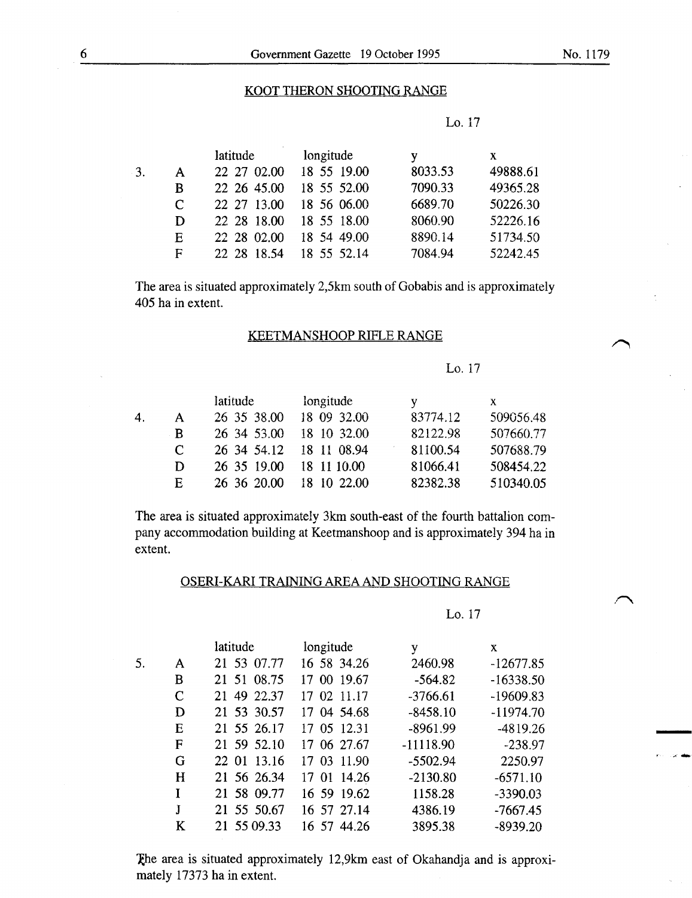### KOOT THERON SHOOTING RANGE

|    |   | latitude    | longitude   |         | X.       |
|----|---|-------------|-------------|---------|----------|
| 3. | A | 22 27 02.00 | 18 55 19.00 | 8033.53 | 49888.61 |
|    | B | 22 26 45.00 | 18 55 52.00 | 7090.33 | 49365.28 |
|    | C | 22 27 13.00 | 18 56 06.00 | 6689.70 | 50226.30 |
|    | D | 22 28 18:00 | 18 55 18.00 | 8060.90 | 52226.16 |
|    | Е | 22 28 02.00 | 18 54 49.00 | 8890.14 | 51734.50 |
|    | F | 22 28 18.54 | 18 55 52.14 | 7084.94 | 52242.45 |

The area is situated approximately 2,5km south of Gobabis and is approximately 405 ha in extent.

### KEETMANSHOOP RIFLE RANGE

Lo. 17

|                             | latitude    | longitude   |          | X.        |
|-----------------------------|-------------|-------------|----------|-----------|
| $\mathsf{A}$                | 26 35 38.00 | 18 09 32.00 | 83774.12 | 509056.48 |
| -R                          | 26 34 53.00 | 18 10 32.00 | 82122.98 | 507660.77 |
| $\mathcal{C}_{\mathcal{C}}$ | 26 34 54.12 | 18 11 08.94 | 81100.54 | 507688.79 |
| D                           | 26 35 19.00 | 18 11 10.00 | 81066.41 | 508454.22 |
| E.                          | 26 36 20.00 | 18 10 22.00 | 82382.38 | 510340.05 |
|                             |             |             |          |           |

The area is situated approximately 3km south-east of the fourth battalion company accommodation building at Keetmanshoop and is approximately 394 ha in extent.

#### OSERI-KARI TRAINING AREA AND SHOOTING RANGE

Lo. 17

|    |             | latitude       | longitude      | y           | X           |
|----|-------------|----------------|----------------|-------------|-------------|
| 5. | A           | 21 53 07.77    | 16 58 34.26    | 2460.98     | $-12677.85$ |
|    | B           | 21 51 08.75    | 00 19.67<br>17 | $-564.82$   | $-16338.50$ |
|    | $\mathbf C$ | 49 22.37<br>21 | 17 02 11.17    | $-3766.61$  | $-19609.83$ |
|    | D           | 21 53 30.57    | 04 54.68<br>17 | $-8458.10$  | $-11974.70$ |
|    | Е           | 21 55 26.17    | 17 05 12.31    | $-8961.99$  | $-4819.26$  |
|    | F           | 21 59 52.10    | 17 06 27.67    | $-11118.90$ | $-238.97$   |
|    | G           | 22 01 13.16    | 03 11.90<br>17 | $-5502.94$  | 2250.97     |
|    | H           | 21 56 26.34    | 17 01 14.26    | $-2130.80$  | $-6571.10$  |
|    |             | 21 58 09.77    | 16 59 19.62    | 1158.28     | $-3390.03$  |
|    | J           | 21 55 50.67    | 16 57 27.14    | 4386.19     | $-7667.45$  |
|    | K           | 21 55 09.33    | 16 57 44.26    | 3895.38     | $-8939.20$  |

The area is situated approximately 12,9km east of Okahandja and is approximately 17373 ha in extent.

 $\cdot$   $\cdot$ 

--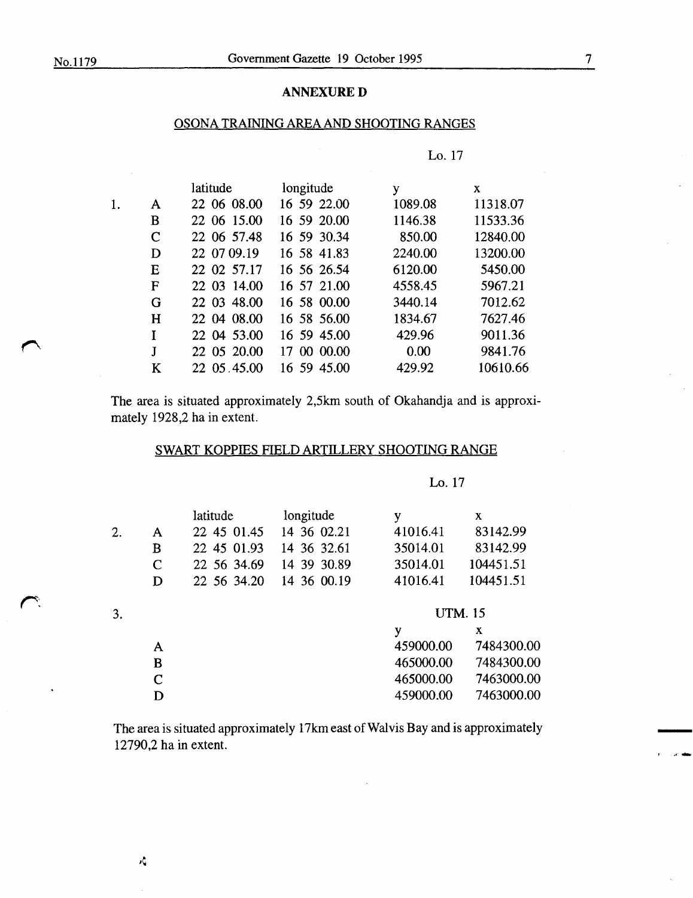**r:** 

 $\mathcal{L}$ 

### **ANNEXURED**

### OSONA TRAINING AREA AND SHOOTING RANGES

|    |   | latitude    | longitude      | y       | X        |
|----|---|-------------|----------------|---------|----------|
| 1. | A | 22 06 08:00 | 16 59 22.00    | 1089.08 | 11318.07 |
|    | B | 22 06 15.00 | 16 59 20.00    | 1146.38 | 11533.36 |
|    | C | 22 06 57.48 | 16 59 30.34    | 850.00  | 12840.00 |
|    | D | 22 07 09.19 | 16 58 41.83    | 2240.00 | 13200.00 |
|    | E | 22 02 57.17 | 16 56 26.54    | 6120.00 | 5450.00  |
|    | F | 22 03 14.00 | 16 57 21.00    | 4558.45 | 5967.21  |
|    | G | 22 03 48.00 | 16 58 00.00    | 3440.14 | 7012.62  |
|    | H | 22 04 08:00 | 16 58 56.00    | 1834.67 | 7627.46  |
|    | T | 22 04 53.00 | 16 59 45.00    | 429.96  | 9011.36  |
|    | J | 22 05 20.00 | 00 00:00<br>17 | 0.00    | 9841.76  |
|    | K | 22 05 45 00 | 16 59 45.00    | 429.92  | 10610.66 |
|    |   |             |                |         |          |

The area is situated approximately 2,5km south of Okahandja and is approximately 1928,2 ha in extent.

### SWART KOPPIES FIELD ARTILLERY SHOOTING RANGE

### Lo. 17

|    |             | latitude    | longitude   | y              | X          |
|----|-------------|-------------|-------------|----------------|------------|
| 2. | A           | 22 45 01.45 | 14 36 02.21 | 41016.41       | 83142.99   |
|    | B           | 22 45 01.93 | 14 36 32.61 | 35014.01       | 83142.99   |
|    | $\mathbf C$ | 22 56 34.69 | 14 39 30.89 | 35014.01       | 104451.51  |
|    | D           | 22 56 34.20 | 14 36 00.19 | 41016.41       | 104451.51  |
| 3. |             |             |             | <b>UTM.</b> 15 |            |
|    |             |             |             | y              | X          |
|    | A           |             |             | 459000.00      | 7484300.00 |
|    | B           |             |             | 465000.00      | 7484300.00 |
|    | $\mathbf C$ |             |             | 465000.00      | 7463000.00 |
|    | D           |             |             | 459000.00      | 7463000.00 |

The area is situated approximately 17km east of Walvis Bay and is approximately 12790,2 ha in extent.

' .......